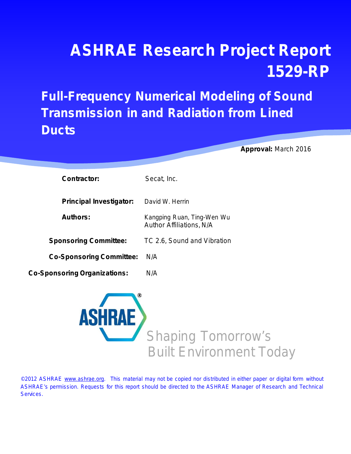# **ASHRAE Research Project Report 1529-RP**

## **Full-Frequency Numerical Modeling of Sound Transmission in and Radiation from Lined Ducts**

 **Approval:** March 2016

| <b>Contractor:</b>                  | Secat, Inc.                                                   |
|-------------------------------------|---------------------------------------------------------------|
| <b>Principal Investigator:</b>      | David W. Herrin                                               |
| <b>Authors:</b>                     | Kangping Ruan, Ting-Wen Wu<br><b>Author Affiliations, N/A</b> |
| <b>Sponsoring Committee:</b>        | TC 2.6, Sound and Vibration                                   |
| <b>Co-Sponsoring Committee:</b>     | N/A                                                           |
| <b>Co-Sponsoring Organizations:</b> | N/A                                                           |



©2012 ASHRAE [www.ashrae.org.](http://www.ashrae.org/) This material may not be copied nor distributed in either paper or digital form without ASHRAE's permission. Requests for this report should be directed to the ASHRAE Manager of Research and Technical Services.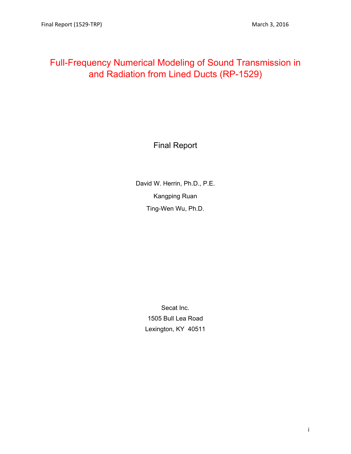## Full-Frequency Numerical Modeling of Sound Transmission in and Radiation from Lined Ducts (RP-1529)

Final Report

David W. Herrin, Ph.D., P.E. Kangping Ruan Ting-Wen Wu, Ph.D.

> Secat Inc. 1505 Bull Lea Road Lexington, KY 40511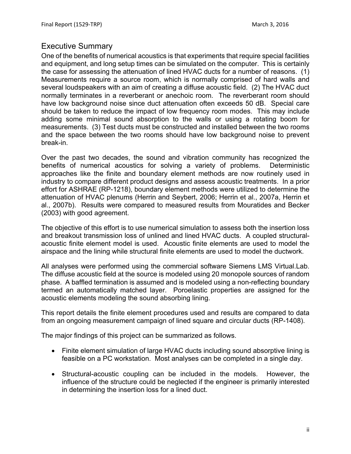#### Executive Summary

One of the benefits of numerical acoustics is that experiments that require special facilities and equipment, and long setup times can be simulated on the computer. This is certainly the case for assessing the attenuation of lined HVAC ducts for a number of reasons. (1) Measurements require a source room, which is normally comprised of hard walls and several loudspeakers with an aim of creating a diffuse acoustic field. (2) The HVAC duct normally terminates in a reverberant or anechoic room. The reverberant room should have low background noise since duct attenuation often exceeds 50 dB. Special care should be taken to reduce the impact of low frequency room modes. This may include adding some minimal sound absorption to the walls or using a rotating boom for measurements. (3) Test ducts must be constructed and installed between the two rooms and the space between the two rooms should have low background noise to prevent break-in.

Over the past two decades, the sound and vibration community has recognized the benefits of numerical acoustics for solving a variety of problems. Deterministic approaches like the finite and boundary element methods are now routinely used in industry to compare different product designs and assess acoustic treatments. In a prior effort for ASHRAE (RP-1218), boundary element methods were utilized to determine the attenuation of HVAC plenums (Herrin and Seybert, 2006; Herrin et al., 2007a, Herrin et al., 2007b). Results were compared to measured results from Mouratides and Becker (2003) with good agreement.

The objective of this effort is to use numerical simulation to assess both the insertion loss and breakout transmission loss of unlined and lined HVAC ducts. A coupled structuralacoustic finite element model is used. Acoustic finite elements are used to model the airspace and the lining while structural finite elements are used to model the ductwork.

All analyses were performed using the commercial software Siemens LMS Virtual.Lab. The diffuse acoustic field at the source is modeled using 20 monopole sources of random phase. A baffled termination is assumed and is modeled using a non-reflecting boundary termed an automatically matched layer. Poroelastic properties are assigned for the acoustic elements modeling the sound absorbing lining.

This report details the finite element procedures used and results are compared to data from an ongoing measurement campaign of lined square and circular ducts (RP-1408).

The major findings of this project can be summarized as follows.

- Finite element simulation of large HVAC ducts including sound absorptive lining is feasible on a PC workstation. Most analyses can be completed in a single day.
- Structural-acoustic coupling can be included in the models. However, the influence of the structure could be neglected if the engineer is primarily interested in determining the insertion loss for a lined duct.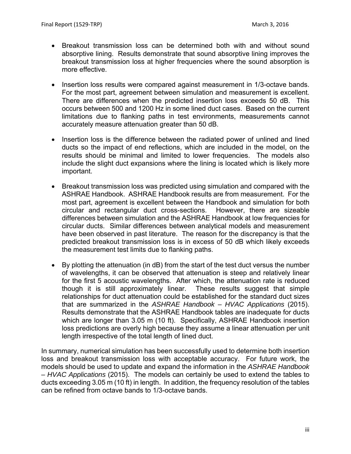- Breakout transmission loss can be determined both with and without sound absorptive lining. Results demonstrate that sound absorptive lining improves the breakout transmission loss at higher frequencies where the sound absorption is more effective.
- Insertion loss results were compared against measurement in 1/3-octave bands. For the most part, agreement between simulation and measurement is excellent. There are differences when the predicted insertion loss exceeds 50 dB. This occurs between 500 and 1200 Hz in some lined duct cases. Based on the current limitations due to flanking paths in test environments, measurements cannot accurately measure attenuation greater than 50 dB.
- Insertion loss is the difference between the radiated power of unlined and lined ducts so the impact of end reflections, which are included in the model, on the results should be minimal and limited to lower frequencies. The models also include the slight duct expansions where the lining is located which is likely more important.
- Breakout transmission loss was predicted using simulation and compared with the ASHRAE Handbook. ASHRAE Handbook results are from measurement. For the most part, agreement is excellent between the Handbook and simulation for both circular and rectangular duct cross-sections. However, there are sizeable differences between simulation and the ASHRAE Handbook at low frequencies for circular ducts. Similar differences between analytical models and measurement have been observed in past literature. The reason for the discrepancy is that the predicted breakout transmission loss is in excess of 50 dB which likely exceeds the measurement test limits due to flanking paths.
- By plotting the attenuation (in dB) from the start of the test duct versus the number of wavelengths, it can be observed that attenuation is steep and relatively linear for the first 5 acoustic wavelengths. After which, the attenuation rate is reduced though it is still approximately linear. These results suggest that simple relationships for duct attenuation could be established for the standard duct sizes that are summarized in the *ASHRAE Handbook – HVAC Applications* (2015). Results demonstrate that the ASHRAE Handbook tables are inadequate for ducts which are longer than 3.05 m (10 ft). Specifically, ASHRAE Handbook insertion loss predictions are overly high because they assume a linear attenuation per unit length irrespective of the total length of lined duct.

In summary, numerical simulation has been successfully used to determine both insertion loss and breakout transmission loss with acceptable accuracy. For future work, the models should be used to update and expand the information in the *ASHRAE Handbook – HVAC Applications* (2015). The models can certainly be used to extend the tables to ducts exceeding 3.05 m (10 ft) in length. In addition, the frequency resolution of the tables can be refined from octave bands to 1/3-octave bands.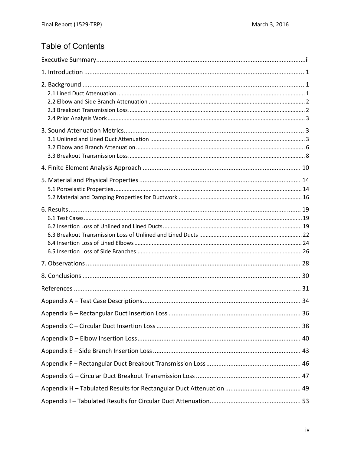### **Table of Contents**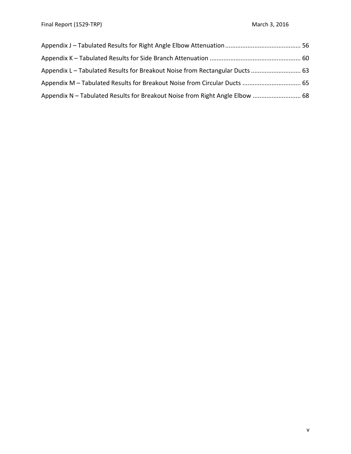| Appendix L – Tabulated Results for Breakout Noise from Rectangular Ducts  63 |  |
|------------------------------------------------------------------------------|--|
|                                                                              |  |
| Appendix N - Tabulated Results for Breakout Noise from Right Angle Elbow  68 |  |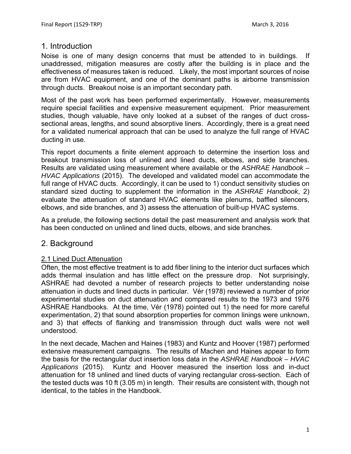#### 1. Introduction

Noise is one of many design concerns that must be attended to in buildings. If unaddressed, mitigation measures are costly after the building is in place and the effectiveness of measures taken is reduced. Likely, the most important sources of noise are from HVAC equipment, and one of the dominant paths is airborne transmission through ducts. Breakout noise is an important secondary path.

Most of the past work has been performed experimentally. However, measurements require special facilities and expensive measurement equipment. Prior measurement studies, though valuable, have only looked at a subset of the ranges of duct crosssectional areas, lengths, and sound absorptive liners. Accordingly, there is a great need for a validated numerical approach that can be used to analyze the full range of HVAC ducting in use.

This report documents a finite element approach to determine the insertion loss and breakout transmission loss of unlined and lined ducts, elbows, and side branches. Results are validated using measurement where available or the *ASHRAE Handbook – HVAC Applications* (2015). The developed and validated model can accommodate the full range of HVAC ducts. Accordingly, it can be used to 1) conduct sensitivity studies on standard sized ducting to supplement the information in the *ASHRAE Handbook*, 2) evaluate the attenuation of standard HVAC elements like plenums, baffled silencers, elbows, and side branches, and 3) assess the attenuation of built-up HVAC systems.

As a prelude, the following sections detail the past measurement and analysis work that has been conducted on unlined and lined ducts, elbows, and side branches.

#### 2. Background

#### 2.1 Lined Duct Attenuation

Often, the most effective treatment is to add fiber lining to the interior duct surfaces which adds thermal insulation and has little effect on the pressure drop. Not surprisingly, ASHRAE had devoted a number of research projects to better understanding noise attenuation in ducts and lined ducts in particular. Vér (1978) reviewed a number of prior experimental studies on duct attenuation and compared results to the 1973 and 1976 ASHRAE Handbooks. At the time, Vér (1978) pointed out 1) the need for more careful experimentation, 2) that sound absorption properties for common linings were unknown, and 3) that effects of flanking and transmission through duct walls were not well understood.

In the next decade, Machen and Haines (1983) and Kuntz and Hoover (1987) performed extensive measurement campaigns. The results of Machen and Haines appear to form the basis for the rectangular duct insertion loss data in the *ASHRAE Handbook – HVAC Applications* (2015). Kuntz and Hoover measured the insertion loss and in-duct attenuation for 18 unlined and lined ducts of varying rectangular cross-section. Each of the tested ducts was 10 ft (3.05 m) in length. Their results are consistent with, though not identical, to the tables in the Handbook.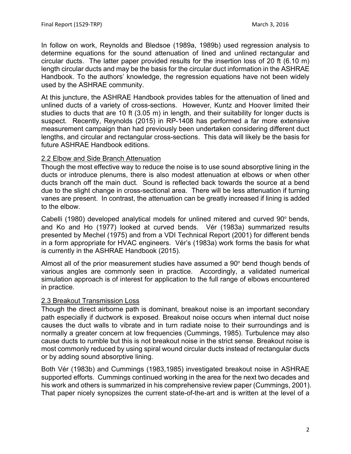In follow on work, Reynolds and Bledsoe (1989a, 1989b) used regression analysis to determine equations for the sound attenuation of lined and unlined rectangular and circular ducts. The latter paper provided results for the insertion loss of 20 ft (6.10 m) length circular ducts and may be the basis for the circular duct information in the ASHRAE Handbook. To the authors' knowledge, the regression equations have not been widely used by the ASHRAE community.

At this juncture, the ASHRAE Handbook provides tables for the attenuation of lined and unlined ducts of a variety of cross-sections. However, Kuntz and Hoover limited their studies to ducts that are 10 ft (3.05 m) in length, and their suitability for longer ducts is suspect. Recently, Reynolds (2015) in RP-1408 has performed a far more extensive measurement campaign than had previously been undertaken considering different duct lengths, and circular and rectangular cross-sections. This data will likely be the basis for future ASHRAE Handbook editions.

#### 2.2 Elbow and Side Branch Attenuation

Though the most effective way to reduce the noise is to use sound absorptive lining in the ducts or introduce plenums, there is also modest attenuation at elbows or when other ducts branch off the main duct. Sound is reflected back towards the source at a bend due to the slight change in cross-sectional area. There will be less attenuation if turning vanes are present. In contrast, the attenuation can be greatly increased if lining is added to the elbow.

Cabelli (1980) developed analytical models for unlined mitered and curved 90° bends, and Ko and Ho (1977) looked at curved bends. Vér (1983a) summarized results presented by Mechel (1975) and from a VDI Technical Report (2001) for different bends in a form appropriate for HVAC engineers. Vér's (1983a) work forms the basis for what is currently in the ASHRAE Handbook (2015).

Almost all of the prior measurement studies have assumed a 90° bend though bends of various angles are commonly seen in practice. Accordingly, a validated numerical simulation approach is of interest for application to the full range of elbows encountered in practice.

#### 2.3 Breakout Transmission Loss

Though the direct airborne path is dominant, breakout noise is an important secondary path especially if ductwork is exposed. Breakout noise occurs when internal duct noise causes the duct walls to vibrate and in turn radiate noise to their surroundings and is normally a greater concern at low frequencies (Cummings, 1985). Turbulence may also cause ducts to rumble but this is not breakout noise in the strict sense. Breakout noise is most commonly reduced by using spiral wound circular ducts instead of rectangular ducts or by adding sound absorptive lining.

Both Vér (1983b) and Cummings (1983,1985) investigated breakout noise in ASHRAE supported efforts. Cummings continued working in the area for the next two decades and his work and others is summarized in his comprehensive review paper (Cummings, 2001). That paper nicely synopsizes the current state-of-the-art and is written at the level of a